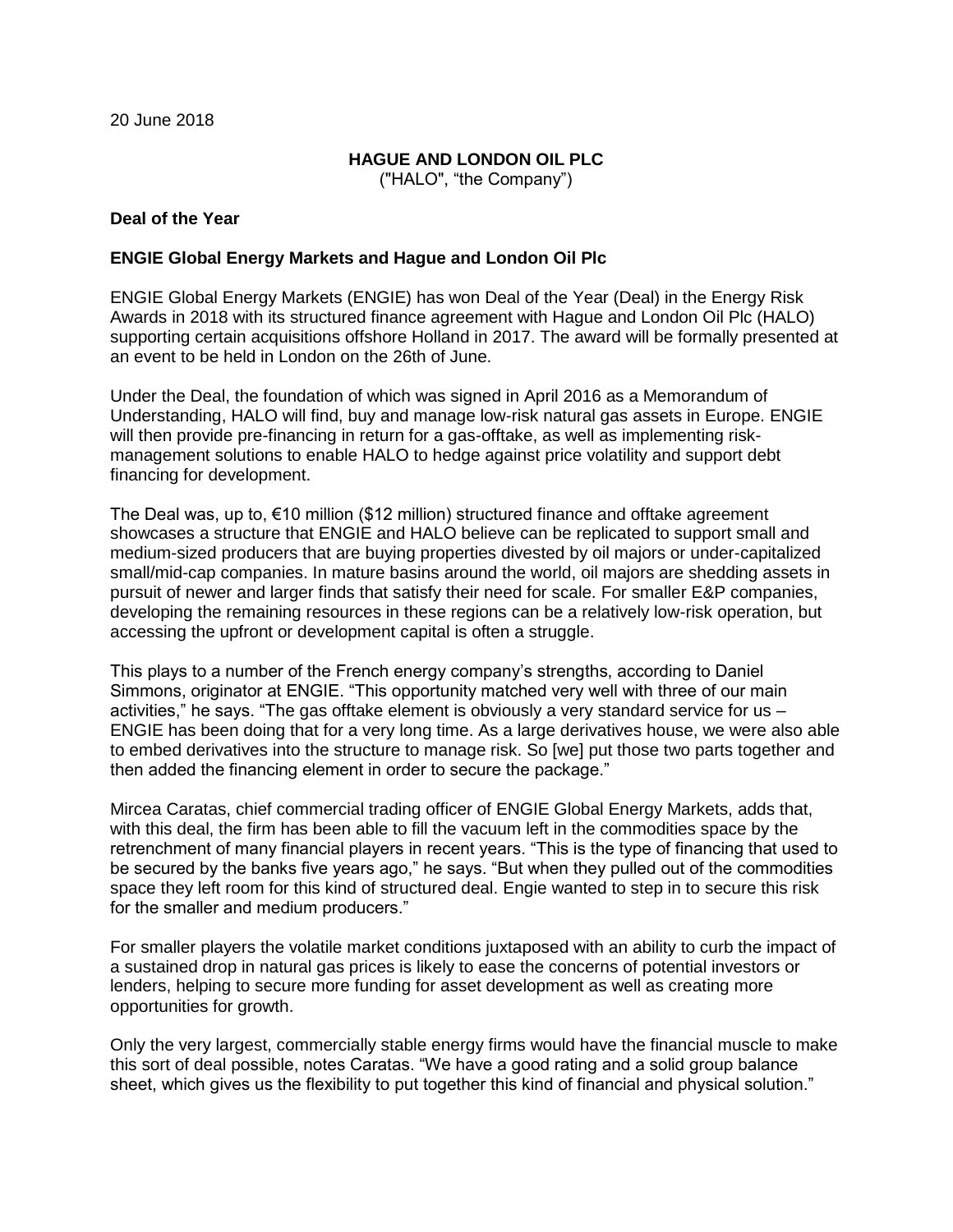20 June 2018

# **HAGUE AND LONDON OIL PLC**

("HALO", "the Company")

## **Deal of the Year**

### **ENGIE Global Energy Markets and Hague and London Oil Plc**

ENGIE Global Energy Markets (ENGIE) has won Deal of the Year (Deal) in the Energy Risk Awards in 2018 with its structured finance agreement with Hague and London Oil Plc (HALO) supporting certain acquisitions offshore Holland in 2017. The award will be formally presented at an event to be held in London on the 26th of June.

Under the Deal, the foundation of which was signed in April 2016 as a Memorandum of Understanding, HALO will find, buy and manage low-risk natural gas assets in Europe. ENGIE will then provide pre-financing in return for a gas-offtake, as well as implementing riskmanagement solutions to enable HALO to hedge against price volatility and support debt financing for development.

The Deal was, up to,  $\epsilon$ 10 million (\$12 million) structured finance and offtake agreement showcases a structure that ENGIE and HALO believe can be replicated to support small and medium-sized producers that are buying properties divested by oil majors or under-capitalized small/mid-cap companies. In mature basins around the world, oil majors are shedding assets in pursuit of newer and larger finds that satisfy their need for scale. For smaller E&P companies, developing the remaining resources in these regions can be a relatively low-risk operation, but accessing the upfront or development capital is often a struggle.

This plays to a number of the French energy company's strengths, according to Daniel Simmons, originator at ENGIE. "This opportunity matched very well with three of our main activities," he says. "The gas offtake element is obviously a very standard service for us – ENGIE has been doing that for a very long time. As a large derivatives house, we were also able to embed derivatives into the structure to manage risk. So [we] put those two parts together and then added the financing element in order to secure the package."

Mircea Caratas, chief commercial trading officer of ENGIE Global Energy Markets, adds that, with this deal, the firm has been able to fill the vacuum left in the commodities space by the retrenchment of many financial players in recent years. "This is the type of financing that used to be secured by the banks five years ago," he says. "But when they pulled out of the commodities space they left room for this kind of structured deal. Engie wanted to step in to secure this risk for the smaller and medium producers."

For smaller players the volatile market conditions juxtaposed with an ability to curb the impact of a sustained drop in natural gas prices is likely to ease the concerns of potential investors or lenders, helping to secure more funding for asset development as well as creating more opportunities for growth.

Only the very largest, commercially stable energy firms would have the financial muscle to make this sort of deal possible, notes Caratas. "We have a good rating and a solid group balance sheet, which gives us the flexibility to put together this kind of financial and physical solution."